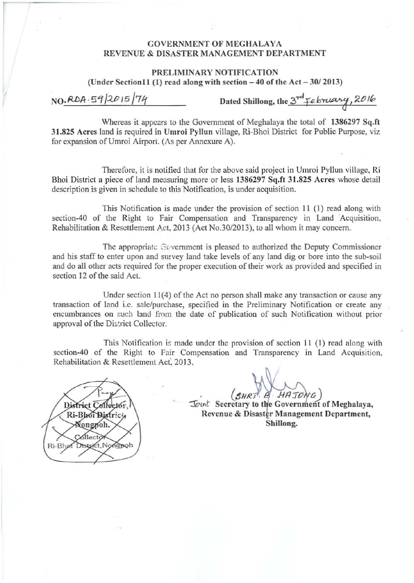## GOVERNMENT OF MEGHALAYA REVENUE & DISASTER MANAGEMENT DEPARTMENT

## PRELIMINARY NOTIFICATION

(Under Section 11 (1) read along with section  $-40$  of the Act  $-30/2013$ )

NO.RDA.59/2015/74

Dated Shillong, the  $3^{rd}$  february, 2016

Whereas it appears to the Government of Meghalaya the total of 1386297 Sq.ft 31.825 Acres land is required in Umroi Pyllun village, Ri-Bhoi District for Public Purpose, viz for expansion of Umroi Airport. (As per Annexure A).

Therefore, it is notified that for the above said project in Umroi Pyllun village, Ri Bhoi District a piece of land measuring more or less 1386297 Sq.ft 31.825 Acres whose detail description is given in schedule to this Notification. is under acquisition.

This Notification is made under the provision of section 11 (1) read along with section-40 of the Right to Fair Compensation and Transparency in Land Acquisition. Rehabilitation & Resettlement Act, 2013 (Act No.30/2013), to all whom it may concern.

The appropriate Government is pleased to authorized the Deputy Commissioner and his staff to enter upon and survey land take levels of any land dig or bore into the sub-soil and do all other acts required for the proper execution of their work as provided and specified in section 12 of the said Act.

Under section 11(4) of the Act no person shall make any transaction or cause any transaction of land i.e. sale/purchase, specified in the Preliminary Notification or create any encumbrances on such land from the date of publication of such Notification without prior approval of the District Collector.

This Notification is made under the provision of section  $11$  (1) read along with section-40 of the Right to Fair Compensation and Transparency in Land Acquisition. Rehabilitation & Resettlement Act. 2013.



Ji . Jlfl:TtJ *ti)*

Joint Secretary to the Government of Meghalaya, Revenue & Disaster Management Department, Shillong.